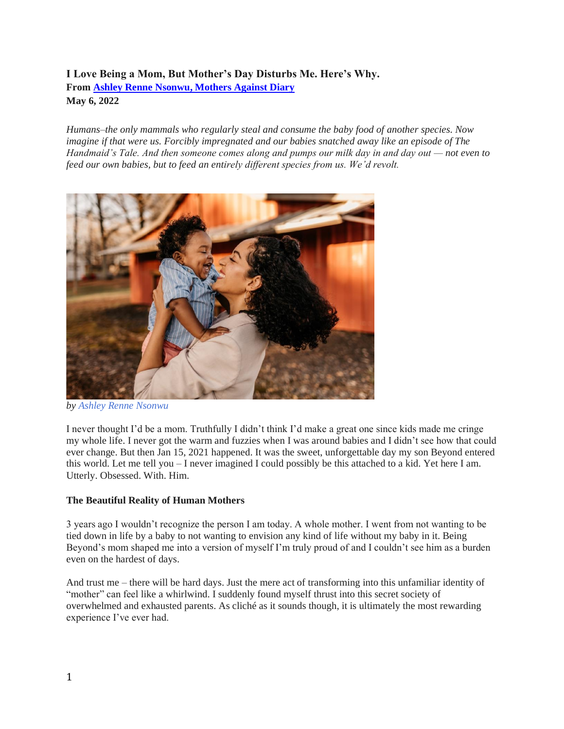## **I Love Being a Mom, But Mother's Day Disturbs Me. Here's Why. From [Ashley Renne Nsonwu, Mothers Against Diary](https://mothersagainstdairy.org/) May 6, 2022**

*Humans–the only mammals who regularly steal and consume the baby food of another species. Now imagine if that were us. Forcibly impregnated and our babies snatched away like an episode of The Handmaid's Tale. And then someone comes along and pumps our milk day in and day out — not even to feed our own babies, but to feed an entirely different species from us. We'd revolt.*



*by [Ashley Renne Nsonwu](http://www.heyashleyrenne.com/)*

I never thought I'd be a mom. Truthfully I didn't think I'd make a great one since kids made me cringe my whole life. I never got the warm and fuzzies when I was around babies and I didn't see how that could ever change. But then Jan 15, 2021 happened. It was the sweet, unforgettable day my son Beyond entered this world. Let me tell you – I never imagined I could possibly be this attached to a kid. Yet here I am. Utterly. Obsessed. With. Him.

### **The Beautiful Reality of Human Mothers**

3 years ago I wouldn't recognize the person I am today. A whole mother. I went from not wanting to be tied down in life by a baby to not wanting to envision any kind of life without my baby in it. Being Beyond's mom shaped me into a version of myself I'm truly proud of and I couldn't see him as a burden even on the hardest of days.

And trust me – there will be hard days. Just the mere act of transforming into this unfamiliar identity of "mother" can feel like a whirlwind. I suddenly found myself thrust into this secret society of overwhelmed and exhausted parents. As cliché as it sounds though, it is ultimately the most rewarding experience I've ever had.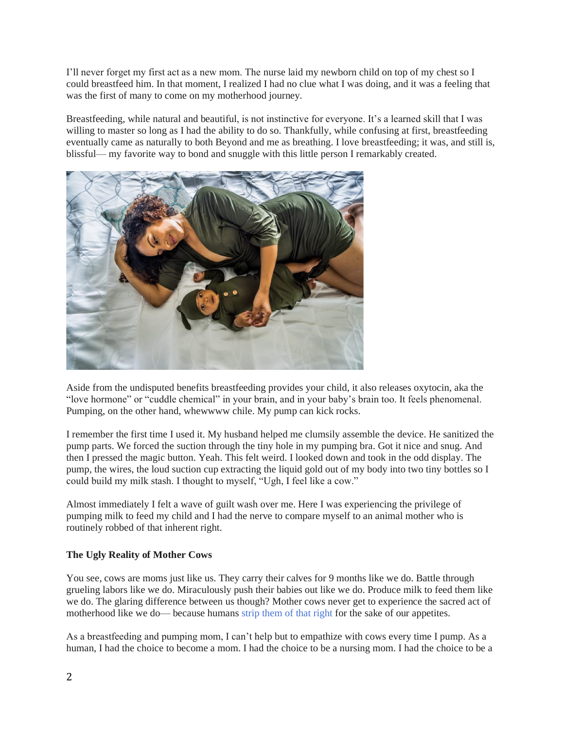I'll never forget my first act as a new mom. The nurse laid my newborn child on top of my chest so I could breastfeed him. In that moment, I realized I had no clue what I was doing, and it was a feeling that was the first of many to come on my motherhood journey.

Breastfeeding, while natural and beautiful, is not instinctive for everyone. It's a learned skill that I was willing to master so long as I had the ability to do so. Thankfully, while confusing at first, breastfeeding eventually came as naturally to both Beyond and me as breathing. I love breastfeeding; it was, and still is, blissful— my favorite way to bond and snuggle with this little person I remarkably created.



Aside from the undisputed benefits breastfeeding provides your child, it also releases oxytocin, aka the "love hormone" or "cuddle chemical" in your brain, and in your baby's brain too. It feels phenomenal. Pumping, on the other hand, whewwww chile. My pump can kick rocks.

I remember the first time I used it. My husband helped me clumsily assemble the device. He sanitized the pump parts. We forced the suction through the tiny hole in my pumping bra. Got it nice and snug. And then I pressed the magic button. Yeah. This felt weird. I looked down and took in the odd display. The pump, the wires, the loud suction cup extracting the liquid gold out of my body into two tiny bottles so I could build my milk stash. I thought to myself, "Ugh, I feel like a cow."

Almost immediately I felt a wave of guilt wash over me. Here I was experiencing the privilege of pumping milk to feed my child and I had the nerve to compare myself to an animal mother who is routinely robbed of that inherent right.

### **The Ugly Reality of Mother Cows**

You see, cows are moms just like us. They carry their calves for 9 months like we do. Battle through grueling labors like we do. Miraculously push their babies out like we do. Produce milk to feed them like we do. The glaring difference between us though? Mother cows never get to experience the sacred act of motherhood like we do— because humans [strip them of that right](http://milkhurts.org/) for the sake of our appetites.

As a breastfeeding and pumping mom, I can't help but to empathize with cows every time I pump. As a human, I had the choice to become a mom. I had the choice to be a nursing mom. I had the choice to be a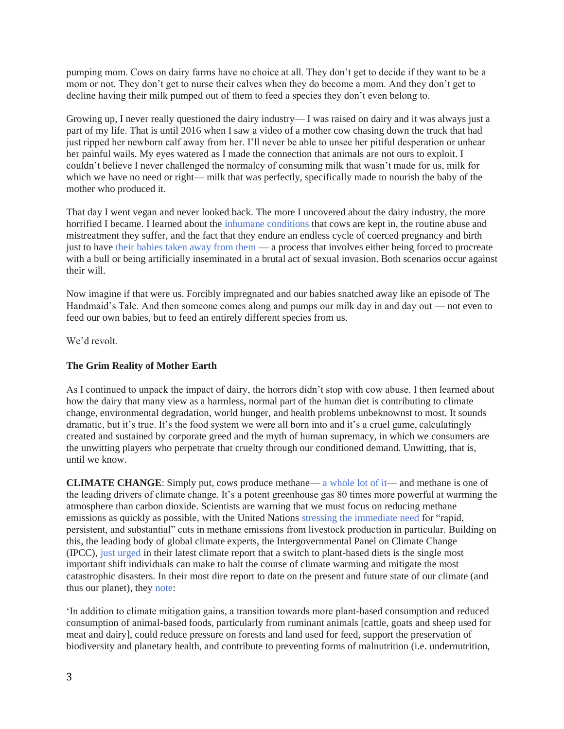pumping mom. Cows on dairy farms have no choice at all. They don't get to decide if they want to be a mom or not. They don't get to nurse their calves when they do become a mom. And they don't get to decline having their milk pumped out of them to feed a species they don't even belong to.

Growing up, I never really questioned the dairy industry— I was raised on dairy and it was always just a part of my life. That is until 2016 when I saw a video of a mother cow chasing down the truck that had just ripped her newborn calf away from her. I'll never be able to unsee her pitiful desperation or unhear her painful wails. My eyes watered as I made the connection that animals are not ours to exploit. I couldn't believe I never challenged the normalcy of consuming milk that wasn't made for us, milk for which we have no need or right— milk that was perfectly, specifically made to nourish the baby of the mother who produced it.

That day I went vegan and never looked back. The more I uncovered about the dairy industry, the more horrified I became. I learned about the [inhumane conditions](http://milkhurts.org/) that cows are kept in, the routine abuse and mistreatment they suffer, and the fact that they endure an endless cycle of coerced pregnancy and birth just to have [their babies taken away from them](https://mothersagainstdairy.org/dairy-farming-mother/) — a process that involves either being forced to procreate with a bull or being artificially inseminated in a brutal act of sexual invasion. Both scenarios occur against their will.

Now imagine if that were us. Forcibly impregnated and our babies snatched away like an episode of The Handmaid's Tale. And then someone comes along and pumps our milk day in and day out — not even to feed our own babies, but to feed an entirely different species from us.

We'd revolt.

### **The Grim Reality of Mother Earth**

As I continued to unpack the impact of dairy, the horrors didn't stop with cow abuse. I then learned about how the dairy that many view as a harmless, normal part of the human diet is contributing to climate change, environmental degradation, world hunger, and health problems unbeknownst to most. It sounds dramatic, but it's true. It's the food system we were all born into and it's a cruel game, calculatingly created and sustained by corporate greed and the myth of human supremacy, in which we consumers are the unwitting players who perpetrate that cruelty through our conditioned demand. Unwitting, that is, until we know.

**CLIMATE CHANGE**: Simply put, cows produce methane— [a whole lot of it—](https://grazingfacts.com/climate-1) and methane is one of the leading drivers of climate change. It's a potent greenhouse gas 80 times more powerful at warming the atmosphere than carbon dioxide. Scientists are warning that we must focus on reducing methane emissions as quickly as possible, with the United Nations [stressing the immediate need](https://grazingfacts.com/climate-1) for "rapid, persistent, and substantial" cuts in methane emissions from livestock production in particular. Building on this, the leading body of global climate experts, the Intergovernmental Panel on Climate Change (IPCC), [just urged](https://awellfedworld.org/climate/eat-plant-based-scientists-say/) in their latest climate report that a switch to plant-based diets is the single most important shift individuals can make to halt the course of climate warming and mitigate the most catastrophic disasters. In their most dire report to date on the present and future state of our climate (and thus our planet), they [note:](https://awellfedworld.org/climate/eat-plant-based-scientists-say/)

'In addition to climate mitigation gains, a transition towards more plant-based consumption and reduced consumption of animal-based foods, particularly from ruminant animals [cattle, goats and sheep used for meat and dairy], could reduce pressure on forests and land used for feed, support the preservation of biodiversity and planetary health, and contribute to preventing forms of malnutrition (i.e. undernutrition,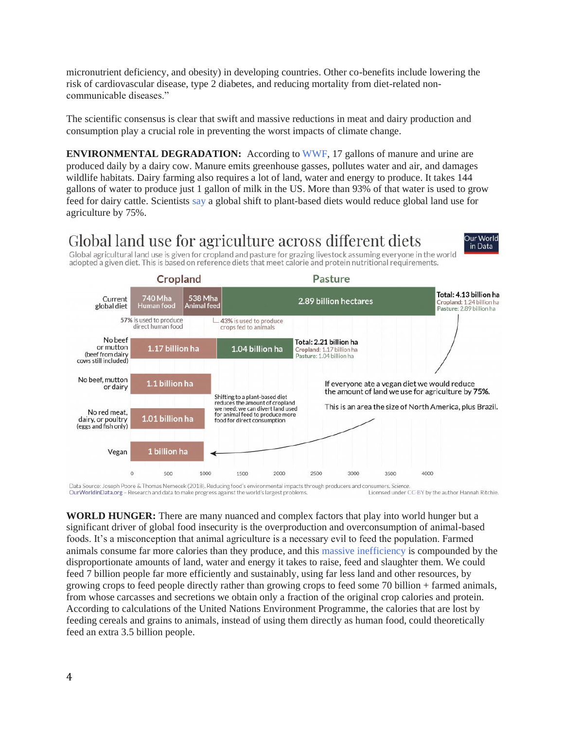micronutrient deficiency, and obesity) in developing countries. Other co-benefits include lowering the risk of cardiovascular disease, type 2 diabetes, and reducing mortality from diet-related noncommunicable diseases."

The scientific consensus is clear that swift and massive reductions in meat and dairy production and consumption play a crucial role in preventing the worst impacts of climate change.

**ENVIRONMENTAL DEGRADATION:** According to [WWF,](https://www.worldwildlife.org/magazine/issues/winter-2019/articles/milk-s-impact-on-the-environment) 17 gallons of manure and urine are produced daily by a dairy cow. Manure emits greenhouse gasses, pollutes water and air, and damages wildlife habitats. Dairy farming also requires a lot of land, water and energy to produce. It takes 144 gallons of water to produce just 1 gallon of milk in the US. More than 93% of that water is used to grow feed for dairy cattle. Scientists [say](https://ourworldindata.org/land-use-diets) a global shift to plant-based diets would reduce global land use for agriculture by 75%.

> Our World in Data

# Global land use for agriculture across different diets

Global agricultural land use is given for cropland and pasture for grazing livestock assuming everyone in the world adopted a given diet. This is based on reference diets that meet calorie and protein nutritional requirements.



Data Source: Joseph Poore & Thomas Nemecek (2018). Reducing food's environmental impacts through producers and consumers. Science. OurWorldinData.org - Research and data to make progress against the world's largest problems. Licensed under CC-BY by the author Hannah Ritchie.

**WORLD HUNGER:** There are many nuanced and complex factors that play into world hunger but a significant driver of global food insecurity is the overproduction and overconsumption of animal-based foods. It's a misconception that animal agriculture is a necessary evil to feed the population. Farmed animals consume far more calories than they produce, and this [massive inefficiency](https://awellfedworld.org/feed-ratios/) is compounded by the disproportionate amounts of land, water and energy it takes to raise, feed and slaughter them. We could feed 7 billion people far more efficiently and sustainably, using far less land and other resources, by growing crops to feed people directly rather than growing crops to feed some 70 billion + farmed animals, from whose carcasses and secretions we obtain only a fraction of the original crop calories and protein. According to calculations of the United Nations Environment Programme, the calories that are lost by feeding cereals and grains to animals, instead of using them directly as human food, could theoretically feed an extra 3.5 billion people.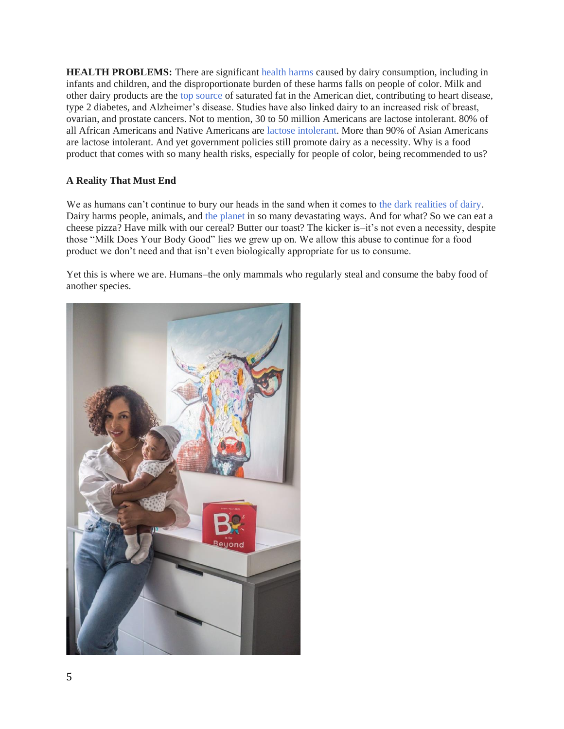**HEALTH PROBLEMS:** There are significant [health harms](https://www.pcrm.org/good-nutrition/nutrition-information/health-concerns-about-dairy) caused by dairy consumption, including in infants and children, and the disproportionate burden of these harms falls on people of color. Milk and other dairy products are the [top source](https://www.pcrm.org/good-nutrition/nutrition-information/health-concerns-about-dairy) of saturated fat in the American diet, contributing to heart disease, type 2 diabetes, and Alzheimer's disease. Studies have also linked dairy to an increased risk of breast, ovarian, and prostate cancers. Not to mention, 30 to 50 million Americans are lactose intolerant. 80% of all African Americans and Native Americans are [lactose intolerant.](https://www.childrenshospital.org/conditions/lactose-intolerance) More than 90% of Asian Americans are lactose intolerant. And yet government policies still promote dairy as a necessity. Why is a food product that comes with so many health risks, especially for people of color, being recommended to us?

### **A Reality That Must End**

We as humans can't continue to bury our heads in the sand when it comes to [the dark realities of dairy.](http://milkhurts.org/) Dairy harms people, animals, and [the planet](http://grazingfacts.com/) in so many devastating ways. And for what? So we can eat a cheese pizza? Have milk with our cereal? Butter our toast? The kicker is–it's not even a necessity, despite those "Milk Does Your Body Good" lies we grew up on. We allow this abuse to continue for a food product we don't need and that isn't even biologically appropriate for us to consume.

Yet this is where we are. Humans–the only mammals who regularly steal and consume the baby food of another species.